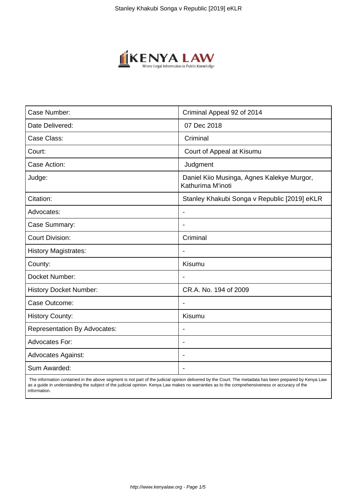

| Case Number:                        | Criminal Appeal 92 of 2014                                      |
|-------------------------------------|-----------------------------------------------------------------|
| Date Delivered:                     | 07 Dec 2018                                                     |
| Case Class:                         | Criminal                                                        |
| Court:                              | Court of Appeal at Kisumu                                       |
| Case Action:                        | Judgment                                                        |
| Judge:                              | Daniel Kiio Musinga, Agnes Kalekye Murgor,<br>Kathurima M'inoti |
| Citation:                           | Stanley Khakubi Songa v Republic [2019] eKLR                    |
| Advocates:                          |                                                                 |
| Case Summary:                       |                                                                 |
| <b>Court Division:</b>              | Criminal                                                        |
| <b>History Magistrates:</b>         | $\blacksquare$                                                  |
| County:                             | Kisumu                                                          |
| Docket Number:                      |                                                                 |
| <b>History Docket Number:</b>       | CR.A. No. 194 of 2009                                           |
| Case Outcome:                       |                                                                 |
| <b>History County:</b>              | Kisumu                                                          |
| <b>Representation By Advocates:</b> | $\qquad \qquad \blacksquare$                                    |
| Advocates For:                      |                                                                 |
| <b>Advocates Against:</b>           |                                                                 |
| Sum Awarded:                        |                                                                 |

 The information contained in the above segment is not part of the judicial opinion delivered by the Court. The metadata has been prepared by Kenya Law as a guide in understanding the subject of the judicial opinion. Kenya Law makes no warranties as to the comprehensiveness or accuracy of the information.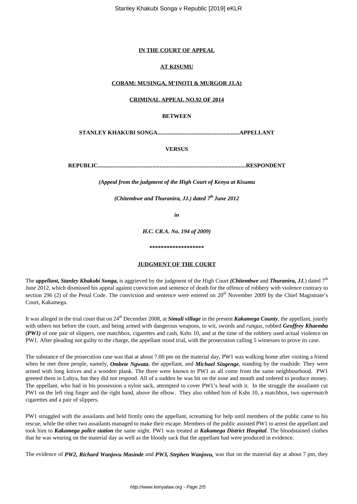## **IN THE COURT OF APPEAL**

### **AT KISUMU**

## **CORAM: MUSINGA, M'INOTI & MURGOR JJ.A)**

#### **CRIMINAL APPEAL NO.92 OF 2014**

## **BETWEEN**

**STANLEY KHAKUBI SONGA.........................................................APPELLANT**

## **VERSUS**

**REPUBLIC.......................................................................................................RESPONDENT**

*(Appeal from the judgment of the High Court of Kenya at Kisumu*

*(Chitembwe and Thuranira, JJ.) dated 7th June 2012*

*in*

*H.C. CR.A. No. 194 of 2009)*

**\*\*\*\*\*\*\*\*\*\*\*\*\*\*\*\*\*\*\***

#### **JUDGMENT OF THE COURT**

The *appellant, Stanley Khakobi Songa,* is aggrieved by the judgment of the High Court *(Chitembwe* and *Thuranira, JJ.*) dated 7th June 2012, which dismissed his appeal against conviction and sentence of death for the offence of robbery with violence contrary to section 296 (2) of the Penal Code. The conviction and sentence were entered on 20<sup>th</sup> November 2009 by the Chief Magistrate's Court, Kakamega.

It was alleged in the trial court that on 24<sup>th</sup> December 2008, at *Simuli village* in the present *Kakamega County*, the appellant, jointly with others not before the court, and being armed with dangerous weapons, to wit, swords and *rungus*, robbed *Geoffrey Khaemba (PW1)* of one pair of slippers, one matchbox, cigarettes and cash, Kshs 10, and at the time of the robbery used actual violence on PW1. After pleading not guilty to the charge, the appellant stood trial, with the prosecution calling 5 witnesses to prove its case.

The substance of the prosecution case was that at about 7.00 pm on the material day, PW1 was walking home after visiting a friend when he met three people, namely, *Ombete Ngwata*, the appellant, and *Michael Singenge*, standing by the roadside. They were armed with long knives and a wooden plank. The three were known to PW1 as all come from the same neighbourhood. PW1 greeted them in Luhya, but they did not respond. All of a sudden he was hit on the nose and mouth and ordered to produce money. The appellant, who had in his possession a nylon sack, attempted to cover PW1's head with it. In the struggle the assailants cut PW1 on the left ring finger and the right hand, above the elbow. They also robbed him of Kshs 10, a matchbox, two *supermatch* cigarettes and a pair of slippers.

PW1 struggled with the assailants and held firmly onto the appellant, screaming for help until members of the public came to his rescue, while the other two assailants managed to make their escape. Members of the public assisted PW1 to arrest the appellant and took him to *Kakamega police station* the same night. PW1 was treated at *Kakamega District Hospital*. The bloodstained clothes that he was wearing on the material day as well as the bloody sack that the appellant had were produced in evidence.

The evidence of *PW2, Richard Wanjovu Masinde* and *PW3, Stephen Wanjovu,* was that on the material day at about 7 pm, they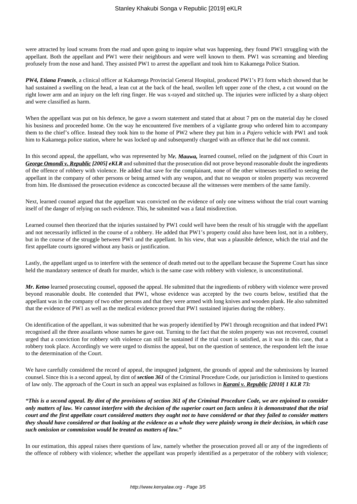were attracted by loud screams from the road and upon going to inquire what was happening, they found PW1 struggling with the appellant. Both the appellant and PW1 were their neighbours and were well known to them. PW1 was screaming and bleeding profusely from the nose and hand. They assisted PW1 to arrest the appellant and took him to Kakamega Police Station.

*PW4, Etiana Francis*, a clinical officer at Kakamega Provincial General Hospital, produced PW1's P3 form which showed that he had sustained a swelling on the head, a lean cut at the back of the head, swollen left upper zone of the chest, a cut wound on the right lower arm and an injury on the left ring finger. He was x-rayed and stitched up. The injuries were inflicted by a sharp object and were classified as harm.

When the appellant was put on his defence, he gave a sworn statement and stated that at about 7 pm on the material day he closed his business and proceeded home. On the way he encountered five members of a vigilante group who ordered him to accompany them to the chief's office. Instead they took him to the home of PW2 where they put him in a *Pajero* vehicle with PW1 and took him to Kakamega police station, where he was locked up and subsequently charged with an offence that he did not commit.

In this second appeal, the appellant, who was represented by M*r. Mauwa,* learned counsel, relied on the judgment of this Court in *George Omondi v. Republic [2005] eKLR* and submitted that the prosecution did not prove beyond reasonable doubt the ingredients of the offence of robbery with violence. He added that save for the complainant, none of the other witnesses testified to seeing the appellant in the company of other persons or being armed with any weapon, and that no weapon or stolen property was recovered from him. He dismissed the prosecution evidence as concocted because all the witnesses were members of the same family.

Next, learned counsel argued that the appellant was convicted on the evidence of only one witness without the trial court warning itself of the danger of relying on such evidence. This, he submitted was a fatal misdirection.

Learned counsel then theorized that the injuries sustained by PW1 could well have been the result of his struggle with the appellant and not necessarily inflicted in the course of a robbery. He added that PW1's property could also have been lost, not in a robbery, but in the course of the struggle between PW1 and the appellant. In his view, that was a plausible defence, which the trial and the first appellate courts ignored without any basis or justification.

Lastly, the appellant urged us to interfere with the sentence of death meted out to the appellant because the Supreme Court has since held the mandatory sentence of death for murder, which is the same case with robbery with violence, is unconstitutional.

*Mr. Ketoo* learned prosecuting counsel, opposed the appeal. He submitted that the ingredients of robbery with violence were proved beyond reasonable doubt. He contended that PW1, whose evidence was accepted by the two courts below, testified that the appellant was in the company of two other persons and that they were armed with long knives and wooden plank. He also submitted that the evidence of PW1 as well as the medical evidence proved that PW1 sustained injuries during the robbery.

On identification of the appellant, it was submitted that he was properly identified by PW1 through recognition and that indeed PW1 recognised all the three assailants whose names he gave out. Turning to the fact that the stolen property was not recovered, counsel urged that a conviction for robbery with violence can still be sustained if the trial court is satisfied, as it was in this case, that a robbery took place. Accordingly we were urged to dismiss the appeal, but on the question of sentence, the respondent left the issue to the determination of the Court.

We have carefully considered the record of appeal, the impugned judgment, the grounds of appeal and the submissions by learned counsel. Since this is a second appeal, by dint of *section 361* of the Criminal Procedure Code, our jurisdiction is limited to questions of law only. The approach of the Court in such an appeal was explained as follows in *Karani v. Republic [2010] 1 KLR 73:*

*"This is a second appeal. By dint of the provisions of section 361 of the Criminal Procedure Code, we are enjoined to consider only matters of law. We cannot interfere with the decision of the superior court on facts unless it is demonstrated that the trial court and the first appellate court considered matters they ought not to have considered or that they failed to consider matters they should have considered or that looking at the evidence as a whole they were plainly wrong in their decision, in which case such omission or commission would be treated as matters of law."*

In our estimation, this appeal raises there questions of law, namely whether the prosecution proved all or any of the ingredients of the offence of robbery with violence; whether the appellant was properly identified as a perpetrator of the robbery with violence;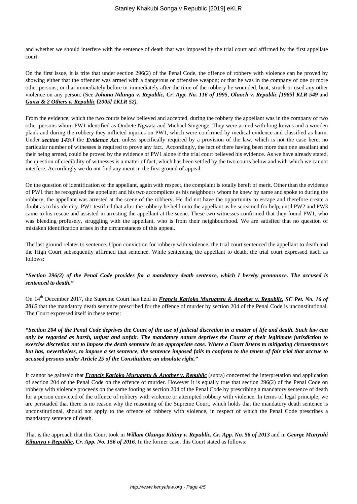and whether we should interfere with the sentence of death that was imposed by the trial court and affirmed by the first appellate court.

On the first issue, it is trite that under section 296(2) of the Penal Code, the offence of robbery with violence can be proved by showing either that the offender was armed with a dangerous or offensive weapon; or that he was in the company of one or more other persons; or that immediately before or immediately after the time of the robbery he wounded, beat, struck or used any other violence on any person. (See *Johana Ndungu v. Republic, Cr. App. No. 116 of 1995*, *Oluoch v. Republic [1985] KLR 549* and *Ganzi & 2 Others v. Republic [2005] 1KLR 52).*

From the evidence, which the two courts below believed and accepted, during the robbery the appellant was in the company of two other persons whom PW1 identified as Ombete Ngwata and Michael Singenge. They were armed with long knives and a wooden plank and during the robbery they inflicted injuries on PW1, which were confirmed by medical evidence and classified as harm. Under *section 143*of the *Evidence Act*, unless specifically required by a provision of the law, which is not the case here, no particular number of witnesses is required to prove any fact. Accordingly, the fact of there having been more than one assailant and their being armed, could be proved by the evidence of PW1 alone if the trial court believed his evidence. As we have already stated, the question of credibility of witnesses is a matter of fact, which has been settled by the two courts below and with which we cannot interfere. Accordingly we do not find any merit in the first ground of appeal.

On the question of identification of the appellant, again with respect, the complaint is totally bereft of merit. Other than the evidence of PW1 that he recognised the appellant and his two accomplices as his neighbours whom he knew by name and spoke to during the robbery, the appellant was arrested at the scene of the robbery. He did not have the opportunity to escape and therefore create a doubt as to his identity. PW1 testified that after the robbery he held onto the appellant as he screamed for help, until PW2 and PW3 came to his rescue and assisted in arresting the appellant at the scene. These two witnesses confirmed that they found PW1, who was bleeding profusely, struggling with the appellant, who is from their neighbourhood. We are satisfied that no question of mistaken identification arises in the circumstances of this appeal.

The last ground relates to sentence. Upon conviction for robbery with violence, the trial court sentenced the appellant to death and the High Court subsequently affirmed that sentence. While sentencing the appellant to death, the trial court expressed itself as follows:

## *"Section 296(2) of the Penal Code provides for a mandatory death sentence, which I hereby pronounce. The accused is sentenced to death."*

On 14<sup>th</sup> December 2017, the Supreme Court has held in *Francis Karioko Muruatetu & Another v. Republic, SC Pet. No. 16 of* 2015 that the mandatory death sentence prescribed for the offence of murder by section 204 of the Penal Code is unconstitutional. The Court expressed itself in these terms:

*"Section 204 of the Penal Code deprives the Court of the use of judicial discretion in a matter of life and death. Such law can only be regarded as harsh, unjust and unfair. The mandatory nature deprives the Courts of their legitimate jurisdiction to exercise discretion not to impose the death sentence in an appropriate case. Where a Court listens to mitigating circumstances but has, nevertheless, to impose a set sentence, the sentence imposed fails to conform to the tenets of fair trial that accrue to accused persons under Article 25 of the Constitution; an absolute right."*

It cannot be gainsaid that *Francis Karioko Muruatetu & Another v. Republic* (supra) concerned the interpretation and application of section 204 of the Penal Code on the offence of murder. However it is equally true that section 296(2) of the Penal Code on robbery with violence proceeds on the same footing as section 204 of the Penal Code by prescribing a mandatory sentence of death for a person convicted of the offence of robbery with violence or attempted robbery with violence. In terms of legal principle, we are persuaded that there is no reason why the reasoning of the Supreme Court, which holds that the mandatory death sentence is unconstitutional, should not apply to the offence of robbery with violence, in respect of which the Penal Code prescribes a mandatory sentence of death.

That is the approach that this Court took in *Willam Okungu Kittiny v. Republic, Cr. App. No. 56 of 2013* and in *George Munyuhi Kihunyu v Republic, Cr. App. No. 156 of 2016*. In the former case, this Court stated as follows: